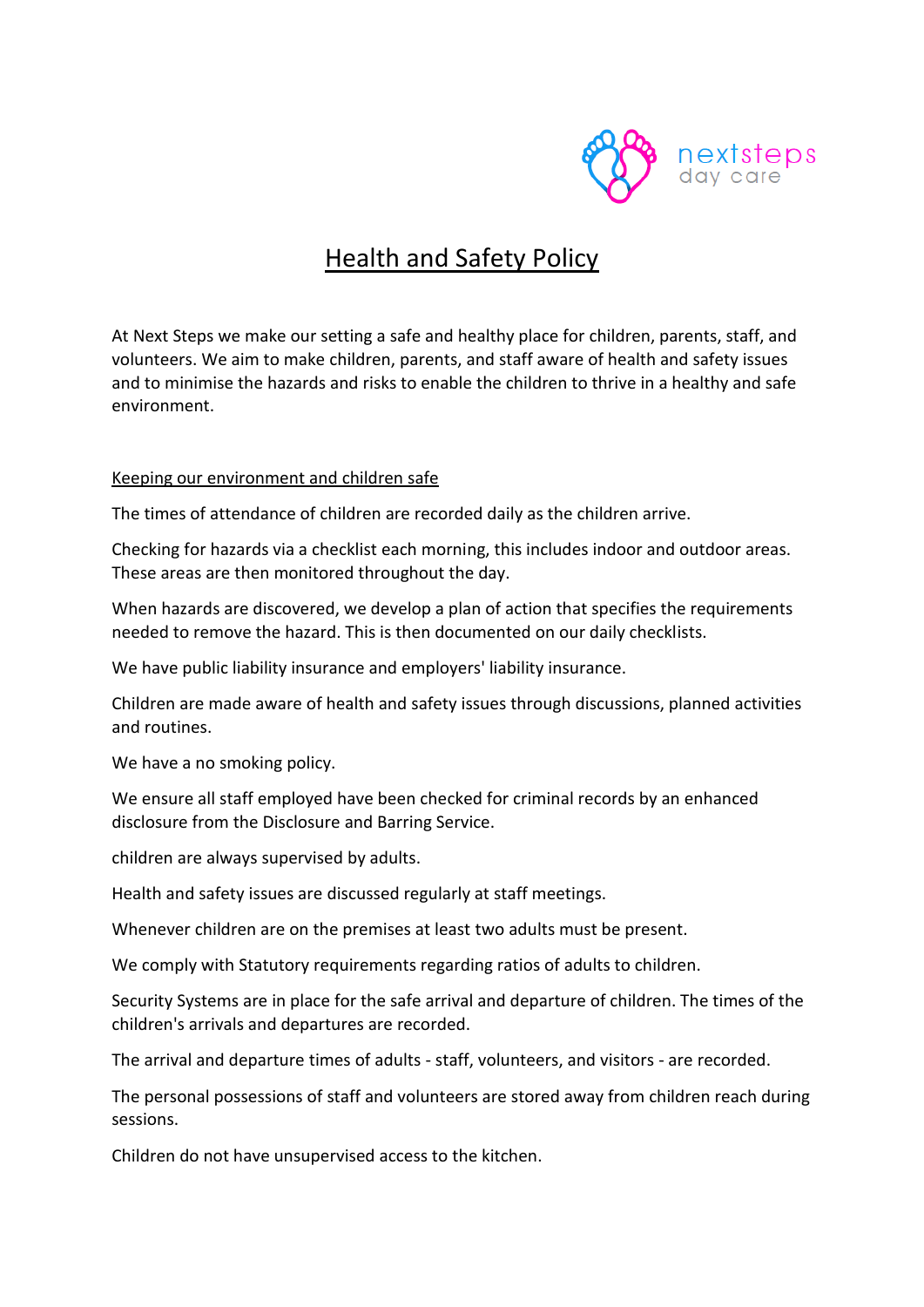

# Health and Safety Policy

At Next Steps we make our setting a safe and healthy place for children, parents, staff, and volunteers. We aim to make children, parents, and staff aware of health and safety issues and to minimise the hazards and risks to enable the children to thrive in a healthy and safe environment.

#### Keeping our environment and children safe

The times of attendance of children are recorded daily as the children arrive.

Checking for hazards via a checklist each morning, this includes indoor and outdoor areas. These areas are then monitored throughout the day.

When hazards are discovered, we develop a plan of action that specifies the requirements needed to remove the hazard. This is then documented on our daily checklists.

We have public liability insurance and employers' liability insurance.

Children are made aware of health and safety issues through discussions, planned activities and routines.

We have a no smoking policy.

We ensure all staff employed have been checked for criminal records by an enhanced disclosure from the Disclosure and Barring Service.

children are always supervised by adults.

Health and safety issues are discussed regularly at staff meetings.

Whenever children are on the premises at least two adults must be present.

We comply with Statutory requirements regarding ratios of adults to children.

Security Systems are in place for the safe arrival and departure of children. The times of the children's arrivals and departures are recorded.

The arrival and departure times of adults - staff, volunteers, and visitors - are recorded.

The personal possessions of staff and volunteers are stored away from children reach during sessions.

Children do not have unsupervised access to the kitchen.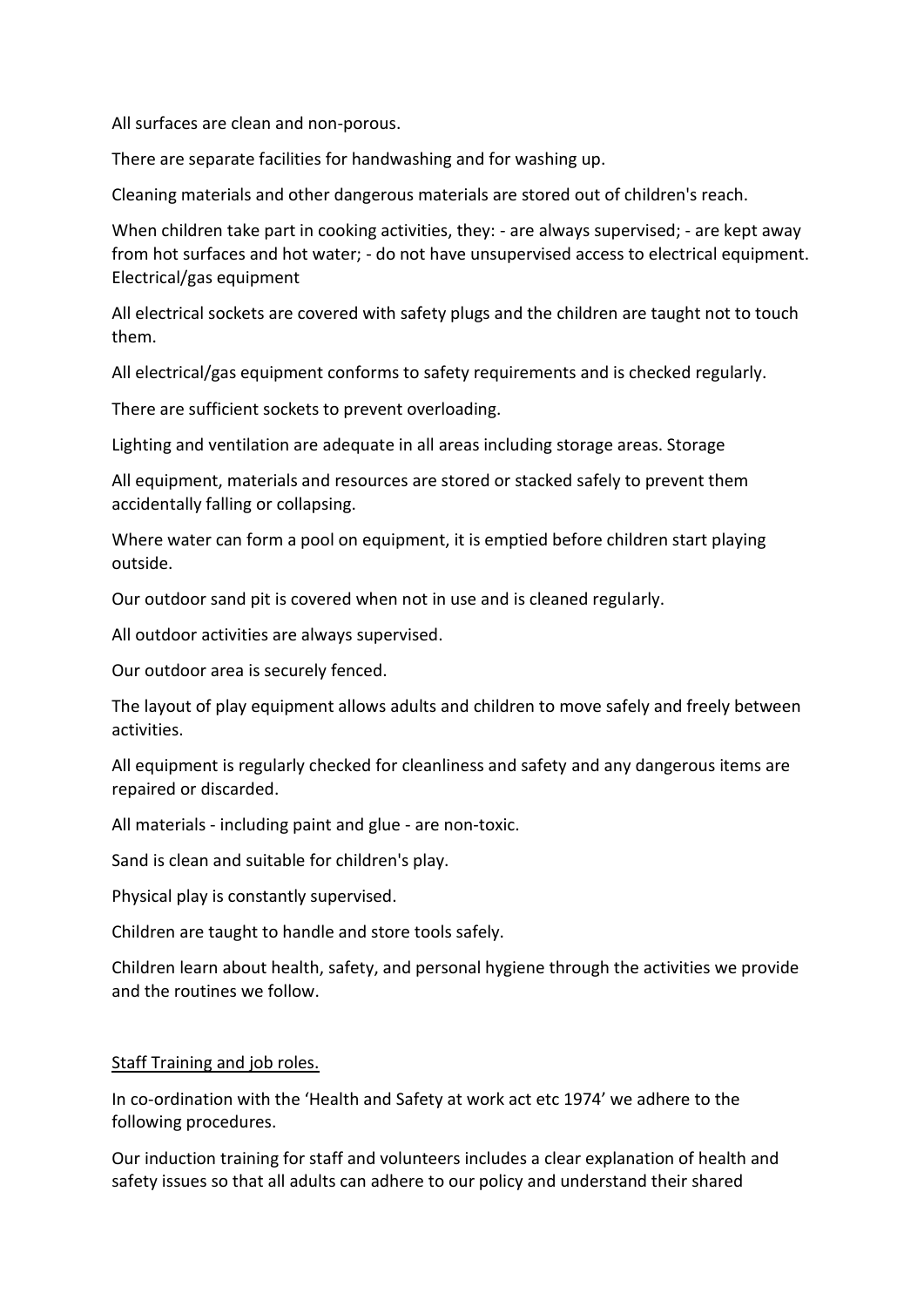All surfaces are clean and non-porous.

There are separate facilities for handwashing and for washing up.

Cleaning materials and other dangerous materials are stored out of children's reach.

When children take part in cooking activities, they: - are always supervised; - are kept away from hot surfaces and hot water; - do not have unsupervised access to electrical equipment. Electrical/gas equipment

All electrical sockets are covered with safety plugs and the children are taught not to touch them.

All electrical/gas equipment conforms to safety requirements and is checked regularly.

There are sufficient sockets to prevent overloading.

Lighting and ventilation are adequate in all areas including storage areas. Storage

All equipment, materials and resources are stored or stacked safely to prevent them accidentally falling or collapsing.

Where water can form a pool on equipment, it is emptied before children start playing outside.

Our outdoor sand pit is covered when not in use and is cleaned regularly.

All outdoor activities are always supervised.

Our outdoor area is securely fenced.

The layout of play equipment allows adults and children to move safely and freely between activities.

All equipment is regularly checked for cleanliness and safety and any dangerous items are repaired or discarded.

All materials - including paint and glue - are non-toxic.

Sand is clean and suitable for children's play.

Physical play is constantly supervised.

Children are taught to handle and store tools safely.

Children learn about health, safety, and personal hygiene through the activities we provide and the routines we follow.

#### Staff Training and job roles.

In co-ordination with the 'Health and Safety at work act etc 1974' we adhere to the following procedures.

Our induction training for staff and volunteers includes a clear explanation of health and safety issues so that all adults can adhere to our policy and understand their shared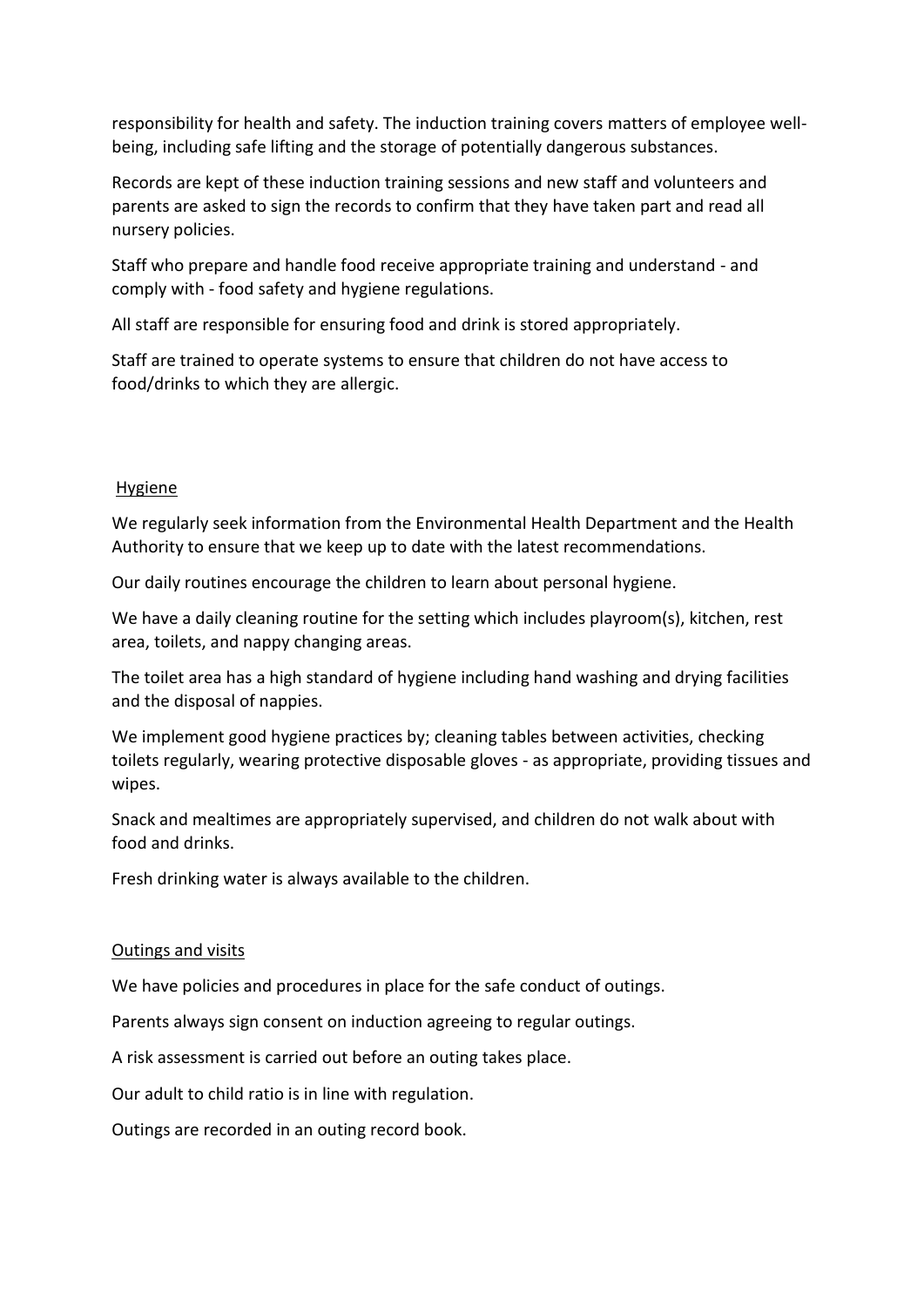responsibility for health and safety. The induction training covers matters of employee wellbeing, including safe lifting and the storage of potentially dangerous substances.

Records are kept of these induction training sessions and new staff and volunteers and parents are asked to sign the records to confirm that they have taken part and read all nursery policies.

Staff who prepare and handle food receive appropriate training and understand - and comply with - food safety and hygiene regulations.

All staff are responsible for ensuring food and drink is stored appropriately.

Staff are trained to operate systems to ensure that children do not have access to food/drinks to which they are allergic.

## Hygiene

We regularly seek information from the Environmental Health Department and the Health Authority to ensure that we keep up to date with the latest recommendations.

Our daily routines encourage the children to learn about personal hygiene.

We have a daily cleaning routine for the setting which includes playroom(s), kitchen, rest area, toilets, and nappy changing areas.

The toilet area has a high standard of hygiene including hand washing and drying facilities and the disposal of nappies.

We implement good hygiene practices by; cleaning tables between activities, checking toilets regularly, wearing protective disposable gloves - as appropriate, providing tissues and wipes.

Snack and mealtimes are appropriately supervised, and children do not walk about with food and drinks.

Fresh drinking water is always available to the children.

#### Outings and visits

We have policies and procedures in place for the safe conduct of outings.

Parents always sign consent on induction agreeing to regular outings.

A risk assessment is carried out before an outing takes place.

Our adult to child ratio is in line with regulation.

Outings are recorded in an outing record book.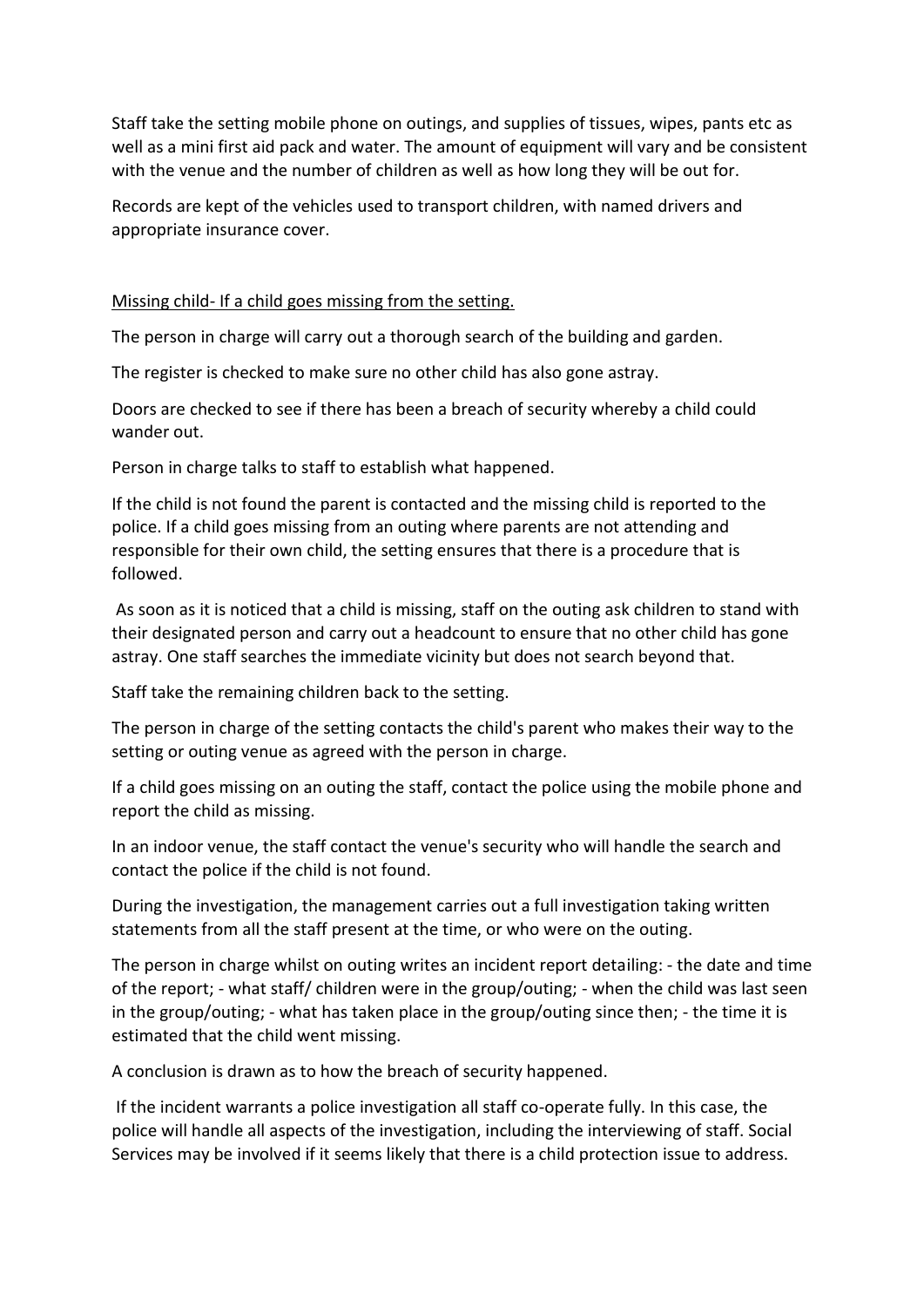Staff take the setting mobile phone on outings, and supplies of tissues, wipes, pants etc as well as a mini first aid pack and water. The amount of equipment will vary and be consistent with the venue and the number of children as well as how long they will be out for.

Records are kept of the vehicles used to transport children, with named drivers and appropriate insurance cover.

Missing child- If a child goes missing from the setting.

The person in charge will carry out a thorough search of the building and garden.

The register is checked to make sure no other child has also gone astray.

Doors are checked to see if there has been a breach of security whereby a child could wander out.

Person in charge talks to staff to establish what happened.

If the child is not found the parent is contacted and the missing child is reported to the police. If a child goes missing from an outing where parents are not attending and responsible for their own child, the setting ensures that there is a procedure that is followed.

As soon as it is noticed that a child is missing, staff on the outing ask children to stand with their designated person and carry out a headcount to ensure that no other child has gone astray. One staff searches the immediate vicinity but does not search beyond that.

Staff take the remaining children back to the setting.

The person in charge of the setting contacts the child's parent who makes their way to the setting or outing venue as agreed with the person in charge.

If a child goes missing on an outing the staff, contact the police using the mobile phone and report the child as missing.

In an indoor venue, the staff contact the venue's security who will handle the search and contact the police if the child is not found.

During the investigation, the management carries out a full investigation taking written statements from all the staff present at the time, or who were on the outing.

The person in charge whilst on outing writes an incident report detailing: - the date and time of the report; - what staff/ children were in the group/outing; - when the child was last seen in the group/outing; - what has taken place in the group/outing since then; - the time it is estimated that the child went missing.

A conclusion is drawn as to how the breach of security happened.

If the incident warrants a police investigation all staff co-operate fully. In this case, the police will handle all aspects of the investigation, including the interviewing of staff. Social Services may be involved if it seems likely that there is a child protection issue to address.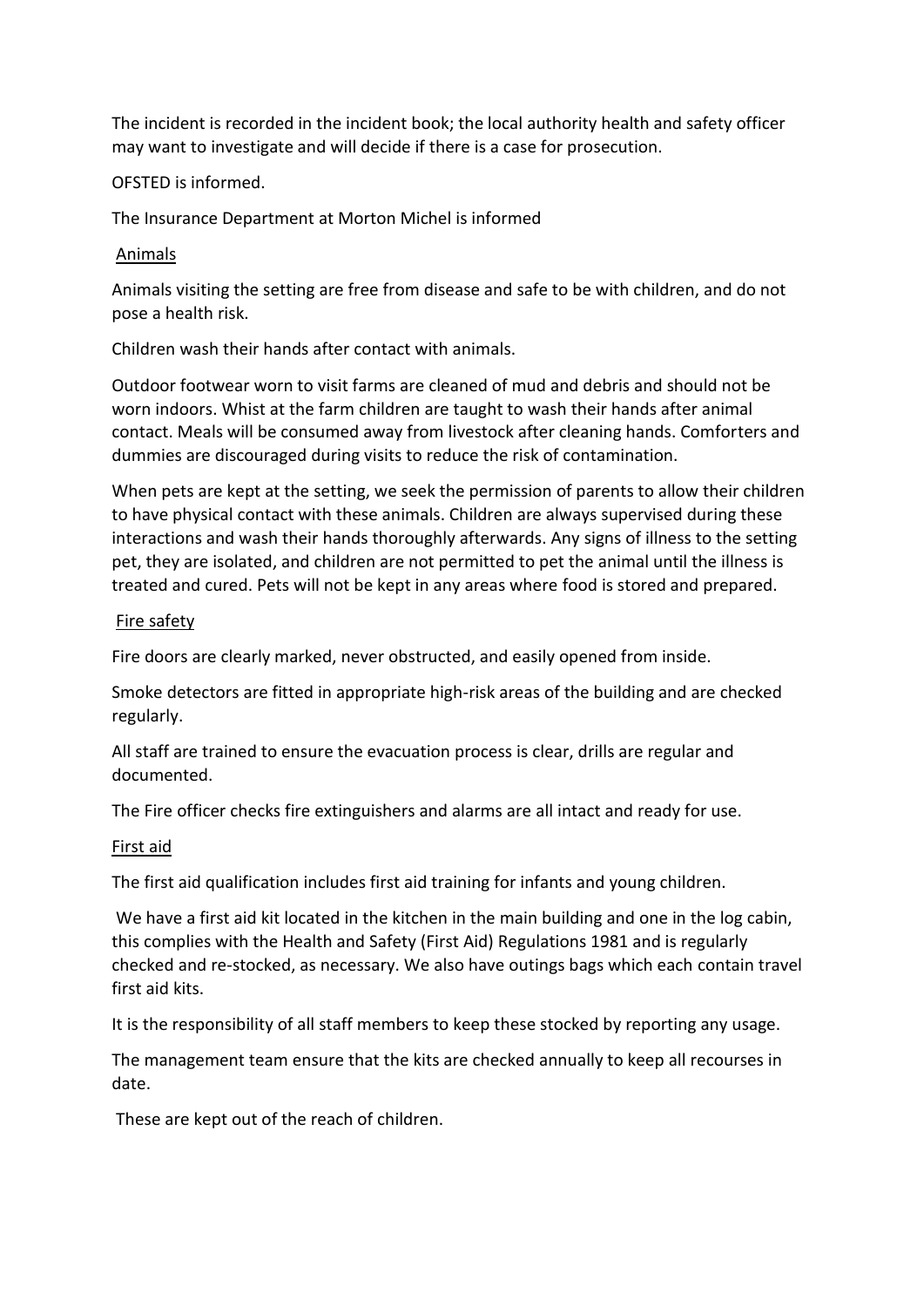The incident is recorded in the incident book; the local authority health and safety officer may want to investigate and will decide if there is a case for prosecution.

## OFSTED is informed.

The Insurance Department at Morton Michel is informed

#### Animals

Animals visiting the setting are free from disease and safe to be with children, and do not pose a health risk.

Children wash their hands after contact with animals.

Outdoor footwear worn to visit farms are cleaned of mud and debris and should not be worn indoors. Whist at the farm children are taught to wash their hands after animal contact. Meals will be consumed away from livestock after cleaning hands. Comforters and dummies are discouraged during visits to reduce the risk of contamination.

When pets are kept at the setting, we seek the permission of parents to allow their children to have physical contact with these animals. Children are always supervised during these interactions and wash their hands thoroughly afterwards. Any signs of illness to the setting pet, they are isolated, and children are not permitted to pet the animal until the illness is treated and cured. Pets will not be kept in any areas where food is stored and prepared.

#### Fire safety

Fire doors are clearly marked, never obstructed, and easily opened from inside.

Smoke detectors are fitted in appropriate high-risk areas of the building and are checked regularly.

All staff are trained to ensure the evacuation process is clear, drills are regular and documented.

The Fire officer checks fire extinguishers and alarms are all intact and ready for use.

#### First aid

The first aid qualification includes first aid training for infants and young children.

We have a first aid kit located in the kitchen in the main building and one in the log cabin, this complies with the Health and Safety (First Aid) Regulations 1981 and is regularly checked and re-stocked, as necessary. We also have outings bags which each contain travel first aid kits.

It is the responsibility of all staff members to keep these stocked by reporting any usage.

The management team ensure that the kits are checked annually to keep all recourses in date.

These are kept out of the reach of children.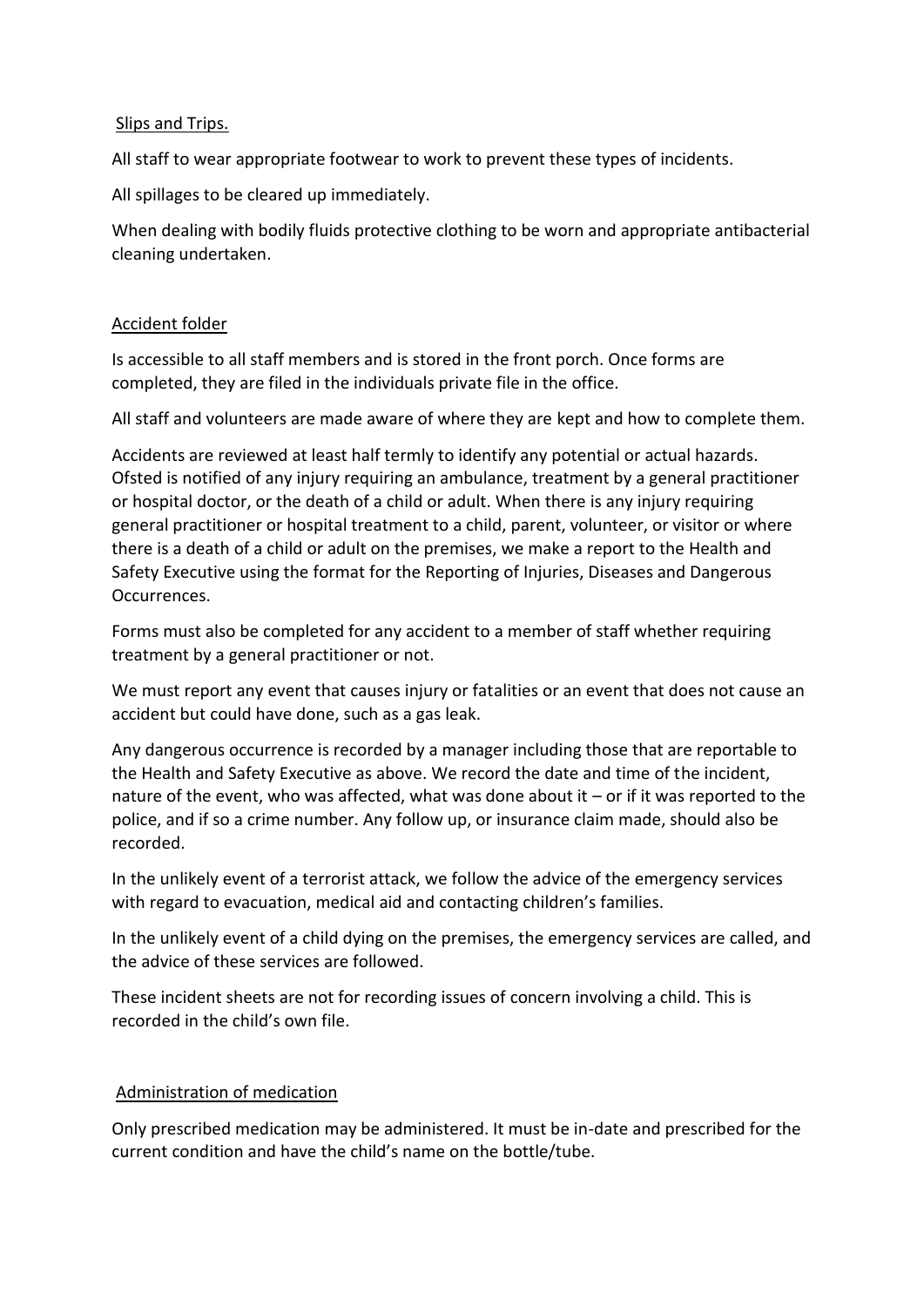## Slips and Trips.

All staff to wear appropriate footwear to work to prevent these types of incidents.

All spillages to be cleared up immediately.

When dealing with bodily fluids protective clothing to be worn and appropriate antibacterial cleaning undertaken.

#### Accident folder

Is accessible to all staff members and is stored in the front porch. Once forms are completed, they are filed in the individuals private file in the office.

All staff and volunteers are made aware of where they are kept and how to complete them.

Accidents are reviewed at least half termly to identify any potential or actual hazards. Ofsted is notified of any injury requiring an ambulance, treatment by a general practitioner or hospital doctor, or the death of a child or adult. When there is any injury requiring general practitioner or hospital treatment to a child, parent, volunteer, or visitor or where there is a death of a child or adult on the premises, we make a report to the Health and Safety Executive using the format for the Reporting of Injuries, Diseases and Dangerous Occurrences.

Forms must also be completed for any accident to a member of staff whether requiring treatment by a general practitioner or not.

We must report any event that causes injury or fatalities or an event that does not cause an accident but could have done, such as a gas leak.

Any dangerous occurrence is recorded by a manager including those that are reportable to the Health and Safety Executive as above. We record the date and time of the incident, nature of the event, who was affected, what was done about it – or if it was reported to the police, and if so a crime number. Any follow up, or insurance claim made, should also be recorded.

In the unlikely event of a terrorist attack, we follow the advice of the emergency services with regard to evacuation, medical aid and contacting children's families.

In the unlikely event of a child dying on the premises, the emergency services are called, and the advice of these services are followed.

These incident sheets are not for recording issues of concern involving a child. This is recorded in the child's own file.

# Administration of medication

Only prescribed medication may be administered. It must be in-date and prescribed for the current condition and have the child's name on the bottle/tube.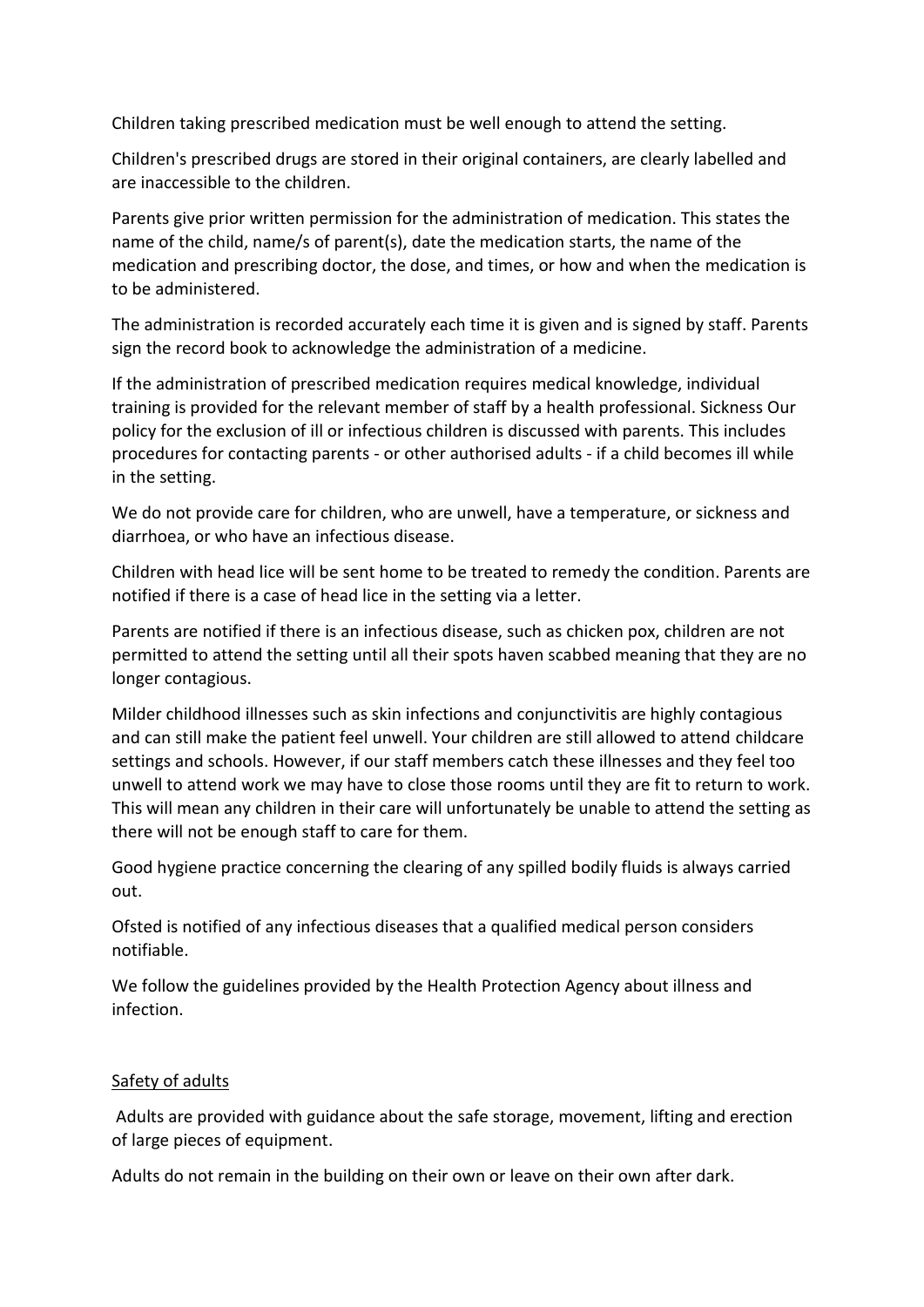Children taking prescribed medication must be well enough to attend the setting.

Children's prescribed drugs are stored in their original containers, are clearly labelled and are inaccessible to the children.

Parents give prior written permission for the administration of medication. This states the name of the child, name/s of parent(s), date the medication starts, the name of the medication and prescribing doctor, the dose, and times, or how and when the medication is to be administered.

The administration is recorded accurately each time it is given and is signed by staff. Parents sign the record book to acknowledge the administration of a medicine.

If the administration of prescribed medication requires medical knowledge, individual training is provided for the relevant member of staff by a health professional. Sickness Our policy for the exclusion of ill or infectious children is discussed with parents. This includes procedures for contacting parents - or other authorised adults - if a child becomes ill while in the setting.

We do not provide care for children, who are unwell, have a temperature, or sickness and diarrhoea, or who have an infectious disease.

Children with head lice will be sent home to be treated to remedy the condition. Parents are notified if there is a case of head lice in the setting via a letter.

Parents are notified if there is an infectious disease, such as chicken pox, children are not permitted to attend the setting until all their spots haven scabbed meaning that they are no longer contagious.

Milder childhood illnesses such as skin infections and conjunctivitis are highly contagious and can still make the patient feel unwell. Your children are still allowed to attend childcare settings and schools. However, if our staff members catch these illnesses and they feel too unwell to attend work we may have to close those rooms until they are fit to return to work. This will mean any children in their care will unfortunately be unable to attend the setting as there will not be enough staff to care for them.

Good hygiene practice concerning the clearing of any spilled bodily fluids is always carried out.

Ofsted is notified of any infectious diseases that a qualified medical person considers notifiable.

We follow the guidelines provided by the Health Protection Agency about illness and infection.

# Safety of adults

Adults are provided with guidance about the safe storage, movement, lifting and erection of large pieces of equipment.

Adults do not remain in the building on their own or leave on their own after dark.